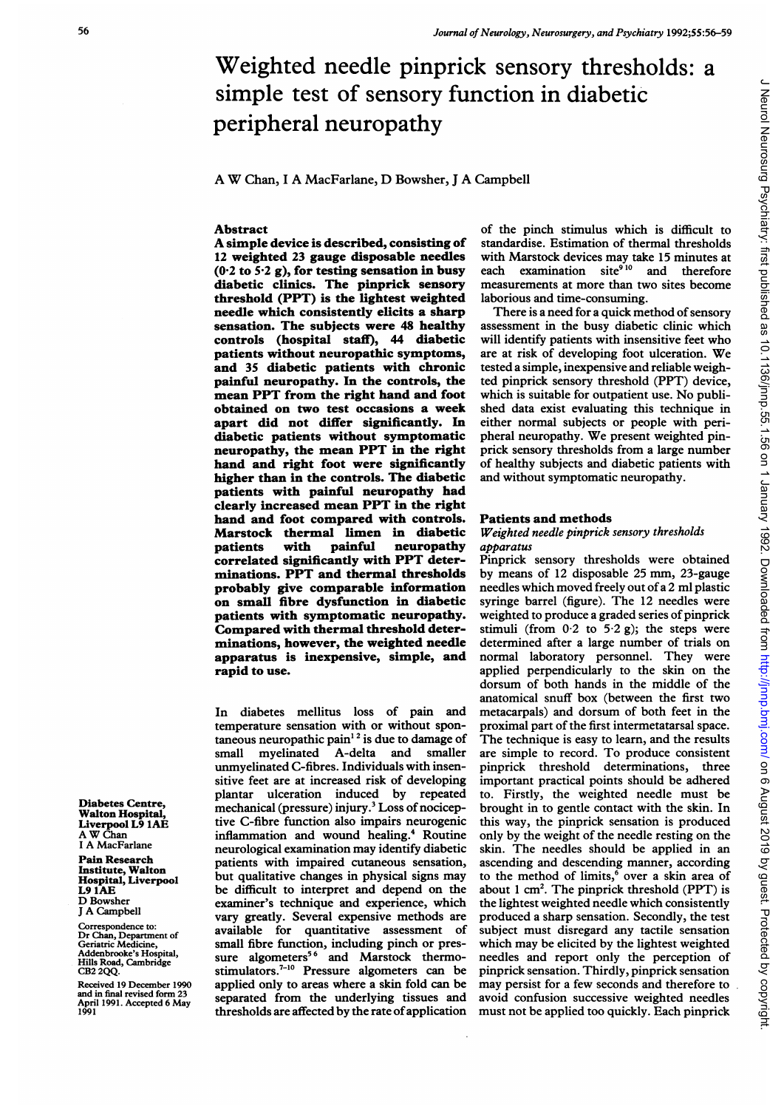# Weighted needle pinprick sensory thresholds: a simple test of sensory function in diabetic peripheral neuropathy

A W Chan, <sup>I</sup> A MacFarlane, D Bowsher, <sup>J</sup> A Campbell

## Abstract

A simple device is described, consisting of 12 weighted 23 gauge disposable needles  $(0.2 \text{ to } 5.2 \text{ g})$ , for testing sensation in busy diabetic clinics. The pinprick sensory threshold (PPT) is the lightest weighted needle which consistently elicits a sharp sensation. The subjects were 48 healthy controls (hospital staff), 44 diabetic patients without neuropathic symptoms, and 35 diabetic patients with chronic painful neuropathy. In the controls, the mean PPT from the right hand and foot obtained on two test occasions a week apart did not differ significantly. In diabetic patients without symptomatic neuropathy, the mean PPT in the right hand and right foot were significantly higher than in the controls. The diabetic patients with painful neuropathy had clearly increased mean PPT in the right hand and foot compared with controls. Marstock thermal limen in diabetic patients with painful neuropathy correlated significantly with PPT determinations. PPT and thermal thresholds probably give comparable information on small fibre dysfunction in diabetic patients with symptomatic neuropathy. Compared with thermal threshold determinations, however, the weighted needle apparatus is inexpensive, simple, and rapid to use.

In diabetes mellitus loss of pain and temperature sensation with or without spontaneous neuropathic pain<sup>12</sup> is due to damage of small myelinated A-delta and smaller unmyelinated C-fibres. Individuals with insensitive feet are at increased risk of developing plantar ulceration induced by repeated mechanical (pressure) injury.3 Loss of nociceptive C-fibre function also impairs neurogenic inflammation and wound healing.<sup>4</sup> Routine neurological examination may identify diabetic patients with impaired cutaneous sensation, but qualitative changes in physical signs may be difficult to interpret and depend on the examiner's technique and experience, which vary greatly. Several expensive methods are available for quantitative assessment of small fibre function, including pinch or pressure algometers<sup>56</sup> and Marstock thermostimulators.<sup>7-10</sup> Pressure algometers can be applied only to areas where a skin fold can be separated from the underlying tissues and thresholds are affected by the rate of application of the pinch stimulus which is difficult to standardise. Estimation of thermal thresholds with Marstock devices may take 15 minutes at each examination  $\sin e^{9.10}$  and therefore examination site $9^{10}$  and therefore measurements at more than two sites become laborious and time-consuming.

There is a need for a quick method of sensory assessment in the busy diabetic clinic which will identify patients with insensitive feet who are at risk of developing foot ulceration. We tested a simple, inexpensive and reliable weighted pinprick sensory threshold (PPT) device, which is suitable for outpatient use. No published data exist evaluating this technique in either normal subjects or people with peripheral neuropathy. We present weighted pinprick sensory thresholds from a large number of healthy subjects and diabetic patients with and without symptomatic neuropathy.

# Patients and methods

## Weighted needle pinprick sensory thresholds apparatus

Pinprick sensory thresholds were obtained by means of <sup>12</sup> disposable 25 mm, 23-gauge needles which moved freely out ofa 2 ml plastic syringe barrel (figure). The 12 needles were weighted to produce a graded series of pinprick stimuli (from  $0.2$  to  $5.2$  g); the steps were determined after a large number of trials on normal laboratory personnel. They were applied perpendicularly to the skin on the dorsum of both hands in the middle of the anatomical snuff box (between the first two metacarpals) and dorsum of both feet in the proximal part of the first intermetatarsal space. The technique is easy to learn, and the results are simple to record. To produce consistent pinprick threshold determinations, three important practical points should be adhered to. Firstly, the weighted needle must be brought in to gentle contact with the skin. In this way, the pinprick sensation is produced only by the weight of the needle resting on the skin. The needles should be applied in an ascending and descending manner, according to the method of limits,<sup>6</sup> over a skin area of about 1 cm<sup>2</sup>. The pinprick threshold (PPT) is the lightest weighted needle which consistently produced a sharp sensation. Secondly, the test subject must disregard any tactile sensation which may be elicited by the lightest weighted needles and report only the perception of pinprick sensation. Thirdly, pinprick sensation may persist for <sup>a</sup> few seconds and therefore to avoid confusion successive weighted needles must not be applied too quickly. Each pinprick

Diabetes Centre, Walton Hospital, Liverpool L9 IAE A W Chan <sup>I</sup> A MacFarlane Pain Research Institute, Walton Hospital, Liverpool

L9 1AE D Bowsher <sup>J</sup> A Campbell

Correspondence to: Dr Chan, Department of Geriatric Medicine, Addenbrooke's Hospital, Hills Road, Cambridge CB2 2QQ.

Received 19 December 1990 and in final revised form 23 April 1991. Accepted 6 May 1991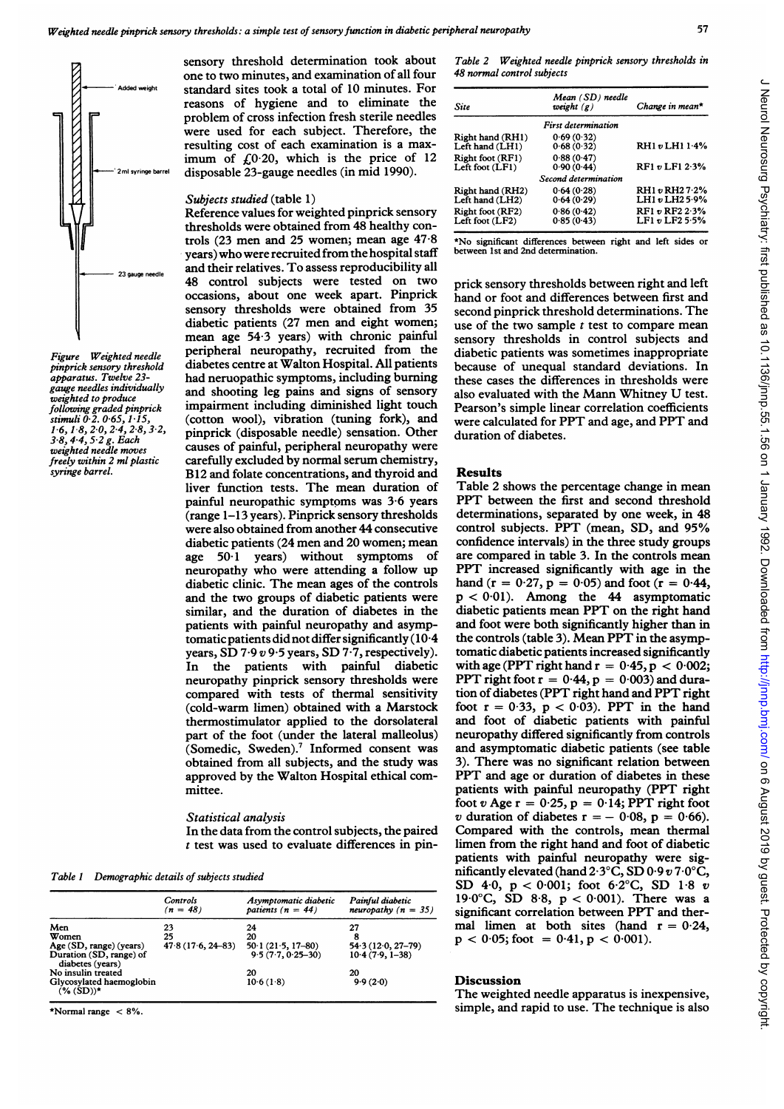

Figure Weighted needle pinprick sensory threshold apparatus. Twelve 2 gauge needles individually weighted to produce following graded pinprick stimuli 0-2. 0-65, 115, 16, 18, 2-0,2-4,2-8, 32, 3-8, 4-4, 5-2 g. Each weighted needle moves freely within 2 ml plastic syringe barrel.

sensory threshold determination took about one to two minutes, and examination of all four standard sites took a total of 10 minutes. For reasons of hygiene and to eliminate the problem of cross infection fresh sterile needles were used for each subject. Therefore, the resulting cost of each examination is a maximum of  $f(0.20)$ , which is the price of 12 disposable 23-gauge needles (in mid 1990).

#### Subjects studied (table 1)

Reference values for weighted pinprick sensory thresholds were obtained from 48 healthy controls (23 men and 25 women; mean age 47-8 years) who were recruited from the hospital staff and their relatives. To assess reproducibility all 48 control subjects were tested on two occasions, about one week apart. Pinprick sensory thresholds were obtained from 35 diabetic patients (27 men and eight women; mean age 54-3 years) with chronic painful peripheral neuropathy, recruited from the diabetes centre at Walton Hospital. All patients had neruopathic symptoms, including buming and shooting leg pains and signs of sensory impairment including diminished light touch (cotton wool), vibration (tuning fork), and pinprick (disposable needle) sensation. Other causes of painful, peripheral neuropathy were carefully excluded by normal serum chemistry, B12 and folate concentrations, and thyroid and liver function tests. The mean duration of painful neuropathic symptoms was 3-6 years (range 1-13 years). Pinprick sensory thresholds were also obtained from another 44 consecutive diabetic patients (24 men and 20 women; mean age  $50-1$  years) without symptoms of neuropathy who were attending a follow up diabetic clinic. The mean ages of the controls and the two groups of diabetic patients were similar, and the duration of diabetes in the patients with painful neuropathy and asymptomatic patients did not differ significantly  $(10.4)$ years, SD 7.9  $v$  9.5 years, SD 7.7, respectively). In the patients with painful diabetic neuropathy pinprick sensory thresholds were compared with tests of thermal sensitivity (cold-warm limen) obtained with a Marstock thermostimulator applied to the dorsolateral part of the foot (under the lateral malleolus) (Somedic, Sweden).<sup>7</sup> Informed consent was obtained from all subjects, and the study was approved by the Walton Hospital ethical committee.

#### Statistical analysis

In the data from the control subjects, the paired  $t$  test was used to evaluate differences in pin-

Table <sup>I</sup> Demographic details of subjects studied

|                                             | Controls<br>$(n = 48)$ | Asymptomatic diabetic<br>patients $(n = 44)$ | Painful diabetic<br>neuropathy $(n = 35)$ |  |  |
|---------------------------------------------|------------------------|----------------------------------------------|-------------------------------------------|--|--|
| Men                                         | 23                     | 24                                           | 27                                        |  |  |
| Women                                       | 25                     | 20                                           | 8                                         |  |  |
| $Age(SD, range)$ (years)                    | $47.8(17.6, 24-83)$    | $50 \cdot 1 (21 \cdot 5, 17 - 80)$           | $54.3(12.0, 27-79)$                       |  |  |
| Duration (SD, range) of<br>diabetes (years) |                        | $9.5(7.7, 0.25 - 30)$                        | $10.4(7.9, 1-38)$                         |  |  |
| No insulin treated                          |                        | 20                                           | 20                                        |  |  |
| Glycosylated haemoglobin<br>$(\%$ (SD))*    |                        | 10.6(1.8)                                    | 9.9(2.0)                                  |  |  |

\*Normal range < 8%.

Table 2 Weighted needle pinprick sensory thresholds in 48 normal control subjects

| Site                                                                              | Mean (SD) needle<br>weight $(g)$                     | Change in mean*                                                     |
|-----------------------------------------------------------------------------------|------------------------------------------------------|---------------------------------------------------------------------|
|                                                                                   | <b>First determination</b>                           |                                                                     |
| Right hand (RH1)<br>Left hand (LH1)                                               | 0.69(0.32)<br>0.68(0.32)                             | RH1 v LH114%                                                        |
| Right foot (RF1)<br>Left foot (LF1)                                               | 0.88(0.47)<br>0.90(0.44)                             | RF1 v LH2.3%                                                        |
|                                                                                   | Second determination                                 |                                                                     |
| <b>Right hand (RH2)</b><br>Left hand (LH2)<br>Right foot (RF2)<br>Left foot (LF2) | 0.64(0.28)<br>0.64(0.29)<br>0.86(0.42)<br>0.85(0.43) | RH1 v RH2 7.2%<br>LH1vLH25.9%<br>RF1 v RF2 2.3%<br>LF1 $v$ LF2 5.5% |
|                                                                                   |                                                      |                                                                     |

\*No significant differences between right and left sides or veen 1st and 2nd determination

prick sensory thresholds between right and left hand or foot and differences between first and second pinprick threshold determinations. The use of the two sample  $t$  test to compare mean sensory thresholds in control subjects and diabetic patients was sometimes inappropriate because of unequal standard deviations. In these cases the differences in thresholds were also evaluated with the Mann Whitney U test. Pearson's simple linear correlation coefficients were calculated for PPT and age, and PPT and duration of diabetes.

# Results

Table 2 shows the percentage change in mean PPT between the first and second threshold determinations, separated by one week, in 48 control subjects. PPT (mean, SD, and 95% confidence intervals) in the three study groups are compared in table 3. In the controls mean PPT increased significantly with age in the hand ( $r = 0.27$ ,  $p = 0.05$ ) and foot ( $r = 0.44$ ,  $p < 0.01$ ). Among the 44 asymptomatic diabetic patients mean PPT on the right hand and foot were both significantly higher than in the controls (table 3). Mean PPT in the asymptomatic diabetic patients increased significantly with age (PPT right hand  $r = 0.45$ ,  $p < 0.002$ ; PPT right foot  $r = 0.44$ ,  $p = 0.003$ ) and duration of diabetes (PPT right hand and PPT right foot  $r = 0.33$ ,  $p < 0.03$ ). PPT in the hand and foot of diabetic patients with painful neuropathy differed significantly from controls and asymptomatic diabetic patients (see table 3). There was no significant relation between PPT and age or duration of diabetes in these patients with painful neuropathy (PPT right foot v Age  $r = 0.25$ ,  $p = 0.14$ ; PPT right foot v duration of diabetes  $r = -0.08$ ,  $p = 0.66$ ). Compared with the controls, mean thermal limen from the right hand and foot of diabetic patients with painful neuropathy were significantly elevated (hand  $2.3^{\circ}$ C, SD  $0.9 v 7.0^{\circ}$ C, SD 4.0,  $p < 0.001$ ; foot 6.2°C, SD 1.8 v 19.0°C, SD 8.8,  $p < 0.001$ ). There was a significant correlation between PPT and thermal limen at both sites (hand  $r = 0.24$ ,  $p < 0.05$ ; foot = 0.41,  $p < 0.001$ ).

## Discussion

The weighted needle apparatus is inexpensive, simple, and rapid to use. The technique is also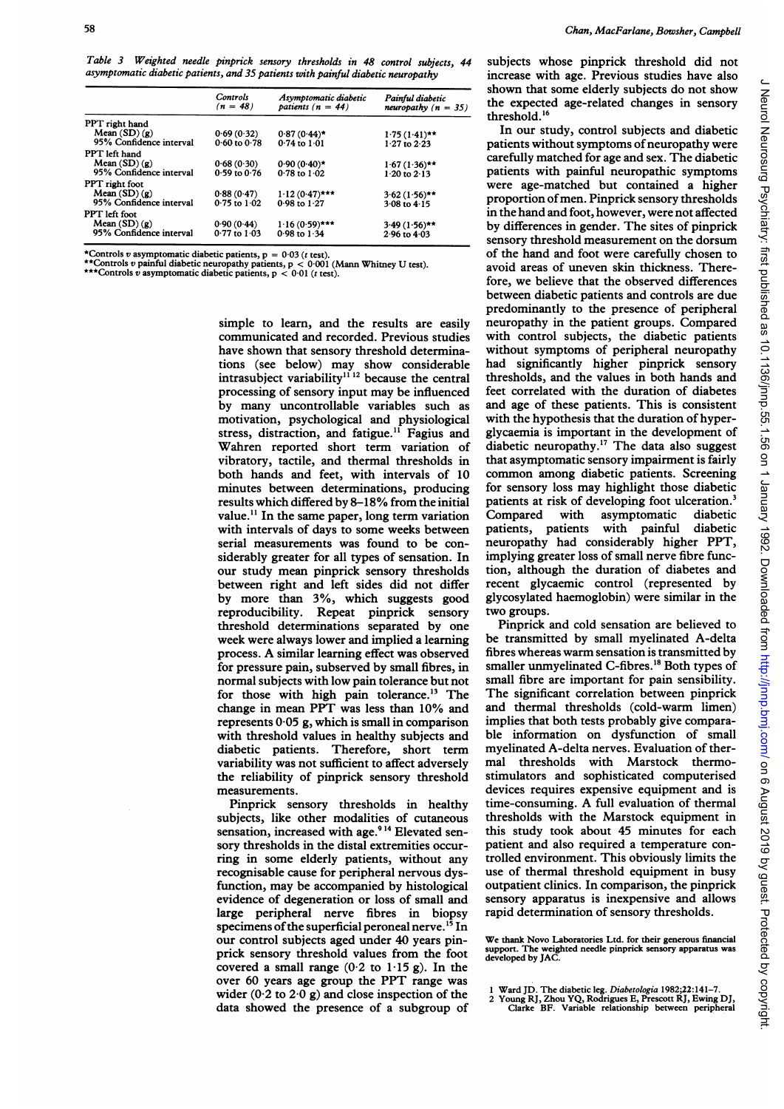Table 3 Weighted needle pinprick sensory thresholds in 48 control subjects, 44 asymptomatic diabetic patients, and 35 patients with painful diabetic neuropathy

|                         | <b>Controls</b><br>$(n = 48)$ | Asymptomatic diabetic<br>patients $(n = 44)$ | Painful diabetic<br>neuropathy $(n = 35)$ |
|-------------------------|-------------------------------|----------------------------------------------|-------------------------------------------|
| PPT right hand          |                               |                                              |                                           |
| Mean(SD)(g)             | 0.69(0.32)                    | $0.87(0.44)$ *                               | $1.75(1.41)$ **                           |
| 95% Confidence interval | $0.60$ to $0.78$              | $0.74$ to $1.01$                             | $1.27$ to $2.23$                          |
| PPT left hand           |                               |                                              |                                           |
| Mean(SD)(g)             | 0.68(0.30)                    | $0.90(0.40)$ *                               | $1.67 (1.36)$ **                          |
| 95% Confidence interval | $0.59$ to $0.76$              | $0.78$ to $1.02$                             | $1.20$ to $2.13$                          |
| PPT right foot          |                               |                                              |                                           |
| Mean(SD)(g)             | 0.88(0.47)                    | $1.12(0.47)$ ***                             | $3.62(1.56)$ **                           |
| 95% Confidence interval | $0.75$ to $1.02$              | $0.98$ to $1.27$                             | $3.08$ to $4.15$                          |
| <b>PPT</b> left foot    |                               |                                              |                                           |
| Mean(SD)(g)             | 0.90(0.44)                    | $1.16(0.59)$ ***                             | $3.49(1.56)$ **                           |
| 95% Confidence interval | $0.77$ to $1.03$              | $0.98$ to $1.34$                             | $2.96$ to $4.03$                          |

\*Controls v asymptomatic diabetic patients,  $p = 0.03$  (t test).<br>\*\*Controls v painful diabetic neuropathy patients,  $p < 0.001$  (Mann Whitney U test).<br>\*\*\*Controls v asymptomatic diabetic patients,  $p < 0.01$  (t test).

simple to learn, and the results are easily communicated and recorded. Previous studies have shown that sensory threshold determinations (see below) may show considerable intrasubject variability" <sup>12</sup> because the central processing of sensory input may be influenced by many uncontrollable variables such as motivation, psychological and physiological stress, distraction, and fatigue.<sup>11</sup> Fagius and Wahren reported short term variation of vibratory, tactile, and thermal thresholds in both hands and feet, with intervals of 10 minutes between determinations, producing results which differed by 8-18% from the initial value.<sup>11</sup> In the same paper, long term variation with intervals of days to some weeks between serial measurements was found to be considerably greater for all types of sensation. In our study mean pinprick sensory thresholds between right and left sides did not differ by more than 3%, which suggests good reproducibility. Repeat pinprick sensory threshold determinations separated by one week were always lower and implied a learning process. A similar learning effect was observed for pressure pain, subserved by small fibres, in normal subjects with low pain tolerance but not for those with high pain tolerance.<sup>13</sup> The change in mean PPT was less than 10% and represents 0-05 g, which is small in comparison with threshold values in healthy subjects and diabetic patients. Therefore, short term variability was not sufficient to affect adversely the reliability of pinprick sensory threshold measurements.

Pinprick sensory thresholds in healthy subjects, like other modalities of cutaneous sensation, increased with age.<sup>914</sup> Elevated sensory thresholds in the distal extremities occurring in some elderly patients, without any recognisable cause for peripheral nervous dysfunction, may be accompanied by histological evidence of degeneration or loss of small and large peripheral nerve fibres in biopsy specimens of the superficial peroneal nerve.<sup>15</sup> In our control subjects aged under 40 years pinprick sensory threshold values from the foot covered a small range  $(0.2 \text{ to } 1.15 \text{ g})$ . In the over 60 years age group the PPT range was wider  $(0.2 \text{ to } 2.0 \text{ g})$  and close inspection of the data showed the presence of a subgroup of

subjects whose pinprick threshold did not increase with age. Previous studies have also shown that some elderly subjects do not show the expected age-related changes in sensory threshold.'6

In our study, control subjects and diabetic patients without symptoms of neuropathy were carefully matched for age and sex. The diabetic patients with painful neuropathic symptoms were age-matched but contained a higher proportion ofmen. Pinprick sensory thresholds in the hand and foot, however, were not affected by differences in gender. The sites of pinprick sensory threshold measurement on the dorsum of the hand and foot were carefully chosen to avoid areas of uneven skin thickness. Therefore, we believe that the observed differences between diabetic patients and controls are due predominantly to the presence of peripheral neuropathy in the patient groups. Compared with control subjects, the diabetic patients without symptoms of peripheral neuropathy had significantly higher pinprick sensory thresholds, and the values in both hands and feet correlated with the duration of diabetes and age of these patients. This is consistent with the hypothesis that the duration of hyperglycaemia is important in the development of diabetic neuropathy.'7 The data also suggest that asymptomatic sensory impairment is fairly common among diabetic patients. Screening for sensory loss may highlight those diabetic patients at risk of developing foot ulceration.<sup>3</sup> Compared with asymptomatic diabetic patients, patients with painful diabetic neuropathy had considerably higher PPT, implying greater loss of small nerve fibre function, although the duration of diabetes and recent glycaemic control (represented by glycosylated haemoglobin) were similar in the two groups.

Pinprick and cold sensation are believed to be transmitted by small myelinated A-delta fibres whereas warm sensation is transmitted by smaller unmyelinated C-fibres.'8 Both types of small fibre are important for pain sensibility. The significant correlation between pinprick and thermal thresholds (cold-warm limen) implies that both tests probably give comparable information on dysfunction of small myelinated A-delta nerves. Evaluation of thermal thresholds with Marstock thermostimulators and sophisticated computerised devices requires expensive equipment and is time-consuming. A full evaluation of thermal thresholds with the Marstock equipment in this study took about 45 minutes for each patient and also required a temperature controlled environment. This obviously limits the use of thermal threshold equipment in busy outpatient clinics. In comparison, the pinprick sensory apparatus is inexpensive and allows rapid determination of sensory thresholds.

We thank Novo Laboratories Ltd. for their generous financial support. The weighted needle pinprick sensory apparatus was developed by JAC.

<sup>1</sup> Ward JD. The diabetic leg. Diabetologia 1982;22:141-7. 2 Young RJ, Zhou YQ, Rodrigues E, Prescott RJ, Ewing DJ, Clarke BF. Variable relationship between peripheral